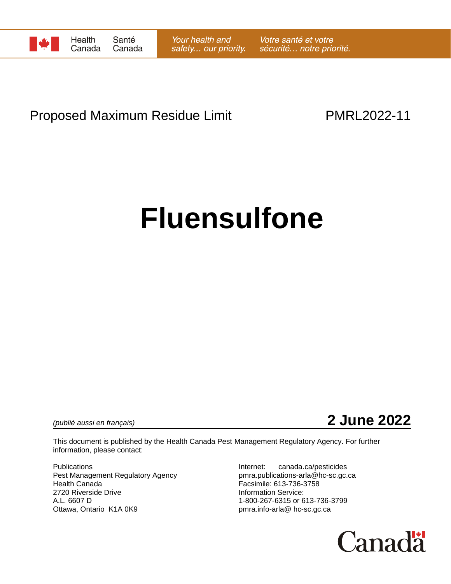

## Proposed Maximum Residue Limit **PMRL2022-11**

# **Fluensulfone**

*(publié aussi en français)* **2 June 2022**

This document is published by the Health Canada Pest Management Regulatory Agency. For further information, please contact:

Pest Management Regulatory Agency<br>
Health Canada<br>
Facsimile: 613-736-3758 2720 Riverside Drive **Information Service:** A.L. 6607 D 1-800-267-6315 or 613-736-3799 Ottawa, Ontario K1A 0K9 **bulga in the contract of the pmra.info-arla@** hc-sc.gc.ca

Publications **Internet:** canada.ca/pesticides Facsimile: 613-736-3758

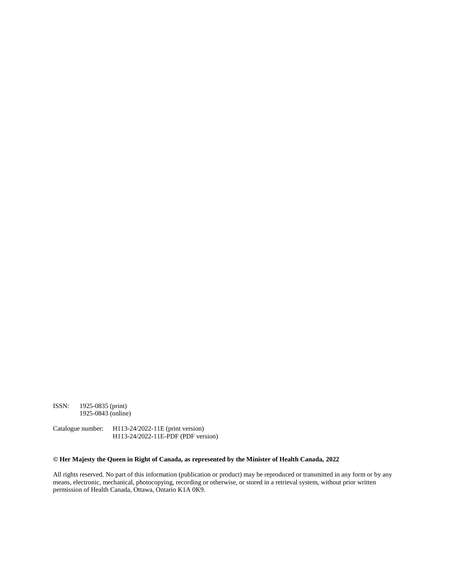ISSN: 1925-0835 (print) 1925-0843 (online)

Catalogue number: H113-24/2022-11E (print version) H113-24/2022-11E-PDF (PDF version)

#### **© Her Majesty the Queen in Right of Canada, as represented by the Minister of Health Canada, 2022**

All rights reserved. No part of this information (publication or product) may be reproduced or transmitted in any form or by any means, electronic, mechanical, photocopying, recording or otherwise, or stored in a retrieval system, without prior written permission of Health Canada, Ottawa, Ontario K1A 0K9.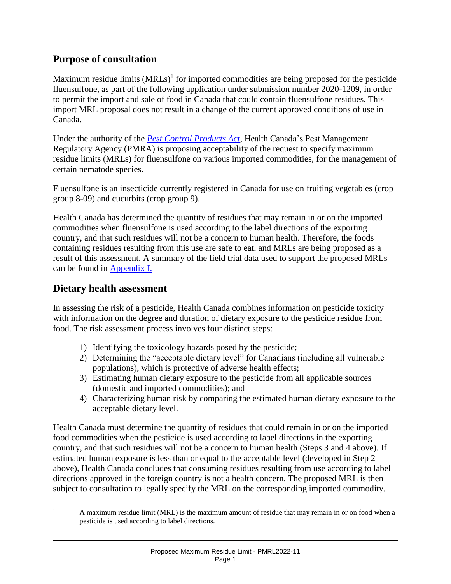## **Purpose of consultation**

Maximum residue limits  $(MRLs)^1$  for imported commodities are being proposed for the pesticide fluensulfone, as part of the following application under submission number 2020-1209, in order to permit the import and sale of food in Canada that could contain fluensulfone residues. This import MRL proposal does not result in a change of the current approved conditions of use in Canada.

Under the authority of the *[Pest Control Products Act](https://laws-lois.justice.gc.ca/eng/acts/P-9.01/)*, Health Canada's Pest Management Regulatory Agency (PMRA) is proposing acceptability of the request to specify maximum residue limits (MRLs) for fluensulfone on various imported commodities, for the management of certain nematode species.

Fluensulfone is an insecticide currently registered in Canada for use on fruiting vegetables (crop group 8-09) and cucurbits (crop group 9).

Health Canada has determined the quantity of residues that may remain in or on the imported commodities when fluensulfone is used according to the label directions of the exporting country, and that such residues will not be a concern to human health. Therefore, the foods containing residues resulting from this use are safe to eat, and MRLs are being proposed as a result of this assessment. A summary of the field trial data used to support the proposed MRLs can be found in [Appendix I.](#page-6-0)

## **Dietary health assessment**

In assessing the risk of a pesticide, Health Canada combines information on pesticide toxicity with information on the degree and duration of dietary exposure to the pesticide residue from food. The risk assessment process involves four distinct steps:

- 1) Identifying the toxicology hazards posed by the pesticide;
- 2) Determining the "acceptable dietary level" for Canadians (including all vulnerable populations), which is protective of adverse health effects;
- 3) Estimating human dietary exposure to the pesticide from all applicable sources (domestic and imported commodities); and
- 4) Characterizing human risk by comparing the estimated human dietary exposure to the acceptable dietary level.

Health Canada must determine the quantity of residues that could remain in or on the imported food commodities when the pesticide is used according to label directions in the exporting country, and that such residues will not be a concern to human health (Steps 3 and 4 above). If estimated human exposure is less than or equal to the acceptable level (developed in Step 2 above), Health Canada concludes that consuming residues resulting from use according to label directions approved in the foreign country is not a health concern. The proposed MRL is then subject to consultation to legally specify the MRL on the corresponding imported commodity.

 $\mathbf{1}$ A maximum residue limit (MRL) is the maximum amount of residue that may remain in or on food when a pesticide is used according to label directions.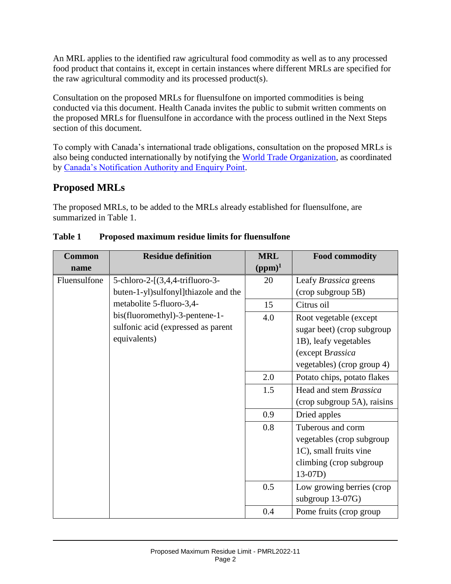An MRL applies to the identified raw agricultural food commodity as well as to any processed food product that contains it, except in certain instances where different MRLs are specified for the raw agricultural commodity and its processed product(s).

Consultation on the proposed MRLs for fluensulfone on imported commodities is being conducted via this document. Health Canada invites the public to submit written comments on the proposed MRLs for fluensulfone in accordance with the process outlined in the Next Steps section of this document.

To comply with Canada's international trade obligations, consultation on the proposed MRLs is also being conducted internationally by notifying the [World Trade Organization,](https://www.wto.org/index.htm) as coordinated by [Canada's Notification Authority and Enquiry Point.](http://www.international.gc.ca/trade-agreements-accords-commerciaux/wto-omc/enquiry.aspx?lang=eng)

## **Proposed MRLs**

The proposed MRLs, to be added to the MRLs already established for fluensulfone, are summarized in Table 1.

| <b>Common</b> | <b>Residue definition</b>            | <b>MRL</b> | <b>Food commodity</b>        |  |
|---------------|--------------------------------------|------------|------------------------------|--|
| name          |                                      | $(ppm)^1$  |                              |  |
| Fluensulfone  | 5-chloro-2- $(3,4,4$ -trifluoro-3-   | 20         | Leafy <i>Brassica</i> greens |  |
|               | buten-1-yl)sulfonyl]thiazole and the |            | (crop subgroup 5B)           |  |
|               | metabolite 5-fluoro-3,4-             | 15         | Citrus oil                   |  |
|               | bis(fluoromethyl)-3-pentene-1-       | 4.0        | Root vegetable (except       |  |
|               | sulfonic acid (expressed as parent   |            | sugar beet) (crop subgroup   |  |
|               | equivalents)                         |            | 1B), leafy vegetables        |  |
|               |                                      |            | (except Brassica             |  |
|               |                                      |            | vegetables) (crop group 4)   |  |
|               |                                      | 2.0        | Potato chips, potato flakes  |  |
|               |                                      | 1.5        | Head and stem Brassica       |  |
|               |                                      |            | (crop subgroup 5A), raisins  |  |
|               |                                      | 0.9        | Dried apples                 |  |
|               |                                      | 0.8        | Tuberous and corm            |  |
|               |                                      |            | vegetables (crop subgroup    |  |
|               |                                      |            | 1C), small fruits vine       |  |
|               |                                      |            | climbing (crop subgroup      |  |
|               |                                      |            | $13-07D$                     |  |
|               |                                      | 0.5        | Low growing berries (crop    |  |
|               |                                      |            | subgroup 13-07G)             |  |
|               |                                      | 0.4        | Pome fruits (crop group      |  |

| <b>Table 1</b> | <b>Proposed maximum residue limits for fluensulfone</b> |  |  |
|----------------|---------------------------------------------------------|--|--|
|                |                                                         |  |  |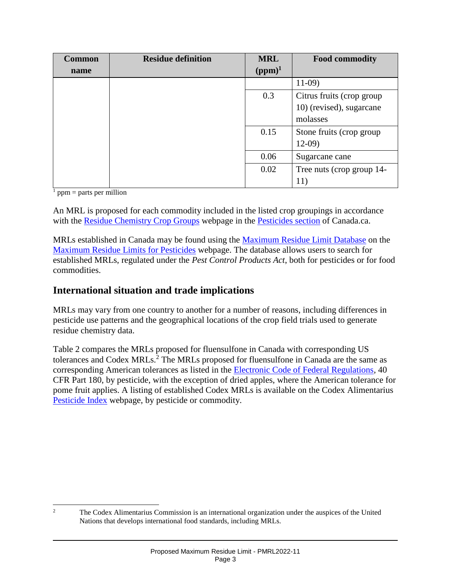| <b>Common</b> | <b>Residue definition</b> | <b>MRL</b> | <b>Food commodity</b>     |
|---------------|---------------------------|------------|---------------------------|
| name          |                           | $(ppm)^1$  |                           |
|               |                           |            | $11-09$                   |
|               |                           | 0.3        | Citrus fruits (crop group |
|               |                           |            | 10) (revised), sugarcane  |
|               |                           |            | molasses                  |
|               |                           | 0.15       | Stone fruits (crop group  |
|               |                           |            | $12-09$                   |
|               |                           | 0.06       | Sugarcane cane            |
|               |                           | 0.02       | Tree nuts (crop group 14- |
|               |                           |            | 11)                       |

 $<sup>1</sup>$  ppm = parts per million</sup>

An MRL is proposed for each commodity included in the listed crop groupings in accordance with the [Residue Chemistry Crop Groups](https://www.canada.ca/en/health-canada/services/consumer-product-safety/pesticides-pest-management/public/protecting-your-health-environment/pesticides-food/residue-chemistry-crop-groups.html) webpage in the [Pesticides section](https://www.canada.ca/en/health-canada/services/consumer-product-safety/pesticides-pest-management.html) of Canada.ca.

MRLs established in Canada may be found using the [Maximum Residue Limit Database](https://pest-control.canada.ca/pesticide-registry/en/disclaimer-page.html) on the [Maximum Residue Limits for Pesticides](https://www.canada.ca/en/health-canada/services/consumer-product-safety/pesticides-pest-management/public/protecting-your-health-environment/pesticides-food/maximum-residue-limits-pesticides.html) webpage. The database allows users to search for established MRLs, regulated under the *Pest Control Products Act*, both for pesticides or for food commodities.

### **International situation and trade implications**

MRLs may vary from one country to another for a number of reasons, including differences in pesticide use patterns and the geographical locations of the crop field trials used to generate residue chemistry data.

Table 2 compares the MRLs proposed for fluensulfone in Canada with corresponding US tolerances and Codex MRLs.<sup>2</sup> The MRLs proposed for fluensulfone in Canada are the same as corresponding American tolerances as listed in the [Electronic Code of Federal Regulations,](https://www.ecfr.gov/current/title-40/chapter-I/subchapter-E/part-180) 40 CFR Part 180, by pesticide, with the exception of dried apples, where the American tolerance for pome fruit applies. A listing of established Codex MRLs is available on the Codex Alimentarius [Pesticide Index](http://www.fao.org/fao-who-codexalimentarius/codex-texts/dbs/pestres/pesticides/en/) webpage, by pesticide or commodity.

 $\mathfrak{D}$ <sup>2</sup> The Codex Alimentarius Commission is an international organization under the auspices of the United Nations that develops international food standards, including MRLs.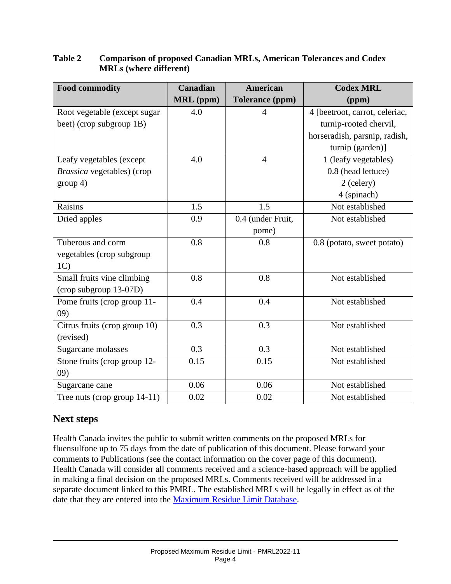| <b>Food commodity</b>         | <b>Canadian</b>  | <b>American</b>        | <b>Codex MRL</b>               |
|-------------------------------|------------------|------------------------|--------------------------------|
|                               | <b>MRL</b> (ppm) | <b>Tolerance (ppm)</b> | (ppm)                          |
| Root vegetable (except sugar  | 4.0              | 4                      | 4 [beetroot, carrot, celeriac, |
| beet) (crop subgroup 1B)      |                  |                        | turnip-rooted chervil,         |
|                               |                  |                        | horseradish, parsnip, radish,  |
|                               |                  |                        | turnip (garden)]               |
| Leafy vegetables (except      | 4.0              | $\overline{4}$         | 1 (leafy vegetables)           |
| Brassica vegetables) (crop    |                  |                        | 0.8 (head lettuce)             |
| group 4)                      |                  |                        | 2 (celery)                     |
|                               |                  |                        | 4 (spinach)                    |
| Raisins                       | 1.5              | 1.5                    | Not established                |
| Dried apples                  | 0.9              | 0.4 (under Fruit,      | Not established                |
|                               |                  | pome)                  |                                |
| Tuberous and corm             | 0.8              | 0.8                    | 0.8 (potato, sweet potato)     |
| vegetables (crop subgroup     |                  |                        |                                |
| 1 <sub>C</sub>                |                  |                        |                                |
| Small fruits vine climbing    | 0.8              | 0.8                    | Not established                |
| (crop subgroup 13-07D)        |                  |                        |                                |
| Pome fruits (crop group 11-   | 0.4              | 0.4                    | Not established                |
| (09)                          |                  |                        |                                |
| Citrus fruits (crop group 10) | 0.3              | 0.3                    | Not established                |
| (revised)                     |                  |                        |                                |
| Sugarcane molasses            | 0.3              | 0.3                    | Not established                |
| Stone fruits (crop group 12-  | 0.15             | 0.15                   | Not established                |
| (09)                          |                  |                        |                                |
| Sugarcane cane                | 0.06             | 0.06                   | Not established                |
| Tree nuts (crop group 14-11)  | 0.02             | 0.02                   | Not established                |

#### **Table 2 Comparison of proposed Canadian MRLs, American Tolerances and Codex MRLs (where different)**

## **Next steps**

Health Canada invites the public to submit written comments on the proposed MRLs for fluensulfone up to 75 days from the date of publication of this document. Please forward your comments to Publications (see the contact information on the cover page of this document). Health Canada will consider all comments received and a science-based approach will be applied in making a final decision on the proposed MRLs. Comments received will be addressed in a separate document linked to this PMRL. The established MRLs will be legally in effect as of the date that they are entered into the [Maximum Residue Limit Database.](https://pest-control.canada.ca/pesticide-registry/en/disclaimer-page.html)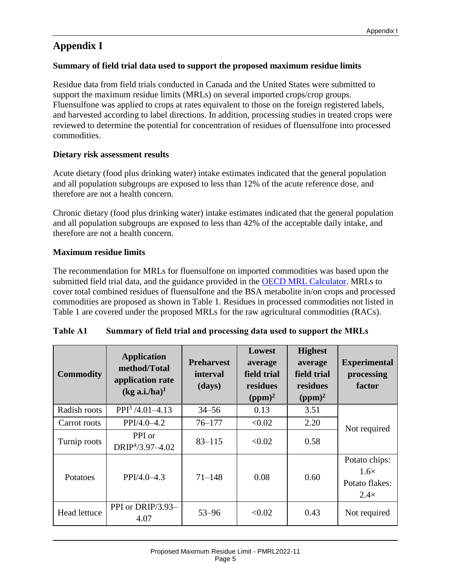## <span id="page-6-0"></span>**Appendix I**

#### **Summary of field trial data used to support the proposed maximum residue limits**

Residue data from field trials conducted in Canada and the United States were submitted to support the maximum residue limits (MRLs) on several imported crops/crop groups. Fluensulfone was applied to crops at rates equivalent to those on the foreign registered labels, and harvested according to label directions. In addition, processing studies in treated crops were reviewed to determine the potential for concentration of residues of fluensulfone into processed commodities.

#### **Dietary risk assessment results**

Acute dietary (food plus drinking water) intake estimates indicated that the general population and all population subgroups are exposed to less than 12% of the acute reference dose, and therefore are not a health concern.

Chronic dietary (food plus drinking water) intake estimates indicated that the general population and all population subgroups are exposed to less than 42% of the acceptable daily intake, and therefore are not a health concern.

#### **Maximum residue limits**

The recommendation for MRLs for fluensulfone on imported commodities was based upon the submitted field trial data, and the guidance provided in the **OECD MRL Calculator**. MRLs to cover total combined residues of fluensulfone and the BSA metabolite in/on crops and processed commodities are proposed as shown in Table 1. Residues in processed commodities not listed in Table 1 are covered under the proposed MRLs for the raw agricultural commodities (RACs).

| Table A1 | Summary of field trial and processing data used to support the MRLs |  |
|----------|---------------------------------------------------------------------|--|
|          |                                                                     |  |

| <b>Commodity</b> | <b>Application</b><br>method/Total<br>application rate<br>$(kg a.i/ha)^1$ | <b>Preharvest</b><br>interval<br>(days) | Lowest<br>average<br>field trial<br>residues<br>$(ppm)^2$ | <b>Highest</b><br>average<br>field trial<br>residues<br>$(ppm)^2$ | <b>Experimental</b><br>processing<br>factor                   |
|------------------|---------------------------------------------------------------------------|-----------------------------------------|-----------------------------------------------------------|-------------------------------------------------------------------|---------------------------------------------------------------|
| Radish roots     | $PPI3 / 4.01 - 4.13$                                                      | $34 - 56$                               | 0.13                                                      | 3.51                                                              |                                                               |
| Carrot roots     | PPI/4.0-4.2                                                               | $76 - 177$                              | < 0.02                                                    | 2.20                                                              | Not required                                                  |
| Turnip roots     | PPI or<br>$DRIP4/3.97-4.02$                                               | $83 - 115$                              | < 0.02                                                    | 0.58                                                              |                                                               |
| Potatoes         | $PPI/4.0-4.3$                                                             | $71 - 148$                              | 0.08                                                      | 0.60                                                              | Potato chips:<br>$1.6\times$<br>Potato flakes:<br>$2.4\times$ |
| Head lettuce     | PPI or DRIP/3.93-<br>4.07                                                 | $53 - 96$                               | < 0.02                                                    | 0.43                                                              | Not required                                                  |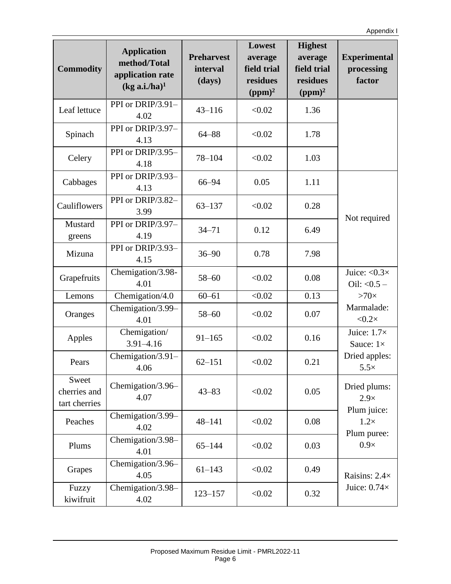| <b>Commodity</b>                       | <b>Application</b><br>method/Total<br>application rate<br>$(kg a.i/ha)^1$ | <b>Preharvest</b><br>interval<br>(days) | Lowest<br>average<br>field trial<br>residues<br>$(ppm)^2$ | <b>Highest</b><br>average<br>field trial<br>residues<br>$(ppm)^2$ | <b>Experimental</b><br>processing<br>factor |
|----------------------------------------|---------------------------------------------------------------------------|-----------------------------------------|-----------------------------------------------------------|-------------------------------------------------------------------|---------------------------------------------|
| Leaf lettuce                           | PPI or DRIP/3.91-<br>4.02                                                 | $43 - 116$                              | < 0.02                                                    | 1.36                                                              |                                             |
| Spinach                                | PPI or DRIP/3.97-<br>4.13                                                 | $64 - 88$                               | < 0.02                                                    | 1.78                                                              |                                             |
| Celery                                 | PPI or DRIP/3.95-<br>4.18                                                 | 78-104                                  | < 0.02                                                    | 1.03                                                              |                                             |
| Cabbages                               | PPI or DRIP/3.93-<br>4.13                                                 | 66-94                                   | 0.05                                                      | 1.11                                                              |                                             |
| Cauliflowers                           | PPI or DRIP/3.82-<br>3.99                                                 | $63 - 137$                              | < 0.02                                                    | 0.28                                                              |                                             |
| Mustard<br>greens                      | PPI or DRIP/3.97-<br>4.19                                                 | $34 - 71$                               | 0.12                                                      | 6.49                                                              | Not required                                |
| Mizuna                                 | PPI or DRIP/3.93-<br>4.15                                                 | $36 - 90$                               | 0.78                                                      | 7.98                                                              |                                             |
| Grapefruits                            | Chemigation/3.98-<br>4.01                                                 | $58 - 60$                               | < 0.02                                                    | 0.08                                                              | Juice: $< 0.3 \times$<br>Oil: $< 0.5 -$     |
| Lemons                                 | Chemigation/4.0                                                           | $60 - 61$                               | < 0.02                                                    | 0.13                                                              | $>70\times$                                 |
| Oranges                                | Chemigation/3.99-<br>4.01                                                 | $58 - 60$                               | < 0.02                                                    | 0.07                                                              | Marmalade:<br>$<\!\!0.2\times$              |
| Apples                                 | Chemigation/<br>$3.91 - 4.16$                                             | $91 - 165$                              | < 0.02                                                    | 0.16                                                              | Juice: $1.7\times$<br>Sauce: $1 \times$     |
| Pears                                  | Chemigation/3.91-<br>4.06                                                 | $62 - 151$                              | < 0.02                                                    | 0.21                                                              | Dried apples:<br>$5.5\times$                |
| Sweet<br>cherries and<br>tart cherries | Chemigation/3.96-<br>4.07                                                 | $43 - 83$                               | < 0.02                                                    | 0.05                                                              | Dried plums:<br>$2.9\times$                 |
| Peaches                                | Chemigation/3.99-<br>4.02                                                 | $48 - 141$                              | < 0.02                                                    | 0.08                                                              | Plum juice:<br>$1.2\times$                  |
| Plums                                  | Chemigation/3.98-<br>4.01                                                 | $65 - 144$                              | < 0.02                                                    | 0.03                                                              | Plum puree:<br>$0.9\times$                  |
| Grapes                                 | Chemigation/3.96-<br>4.05                                                 | $61 - 143$                              | < 0.02                                                    | 0.49                                                              | Raisins: 2.4×                               |
| Fuzzy<br>kiwifruit                     | Chemigation/3.98-<br>4.02                                                 | $123 - 157$                             | < 0.02                                                    | 0.32                                                              | Juice: $0.74\times$                         |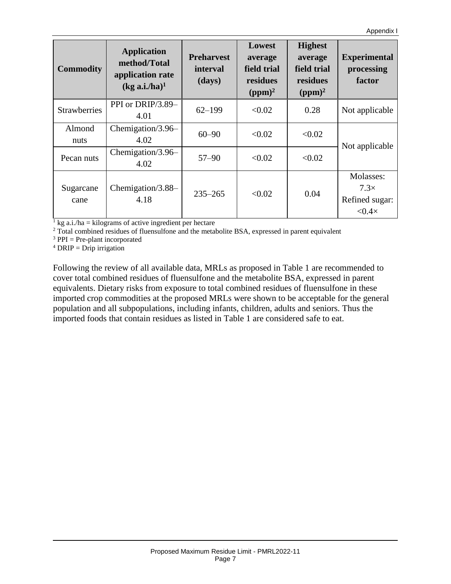| <b>Commodity</b>    | <b>Application</b><br>method/Total<br>application rate<br>$(kg a.i/ha)^1$ | <b>Preharvest</b><br>interval<br>(days) | Lowest<br>average<br>field trial<br>residues<br>(ppm) <sup>2</sup> | <b>Highest</b><br>average<br>field trial<br>residues<br>$(ppm)^2$ | <b>Experimental</b><br>processing<br>factor                  |
|---------------------|---------------------------------------------------------------------------|-----------------------------------------|--------------------------------------------------------------------|-------------------------------------------------------------------|--------------------------------------------------------------|
| <b>Strawberries</b> | PPI or DRIP/3.89-<br>4.01                                                 | $62 - 199$                              | < 0.02                                                             | 0.28                                                              | Not applicable                                               |
| Almond<br>nuts      | Chemigation/3.96-<br>4.02                                                 | $60 - 90$                               | < 0.02                                                             | < 0.02                                                            | Not applicable                                               |
| Pecan nuts          | Chemigation/3.96–<br>4.02                                                 | $57 - 90$                               | < 0.02                                                             | < 0.02                                                            |                                                              |
| Sugarcane<br>cane   | Chemigation/ $3.88-$<br>4.18                                              | $235 - 265$                             | < 0.02                                                             | 0.04                                                              | Molasses:<br>$7.3\times$<br>Refined sugar:<br>$< 0.4 \times$ |

 $\frac{1}{1}$  kg a.i./ha = kilograms of active ingredient per hectare

<sup>2</sup> Total combined residues of fluensulfone and the metabolite BSA, expressed in parent equivalent

 $3$  PPI = Pre-plant incorporated

 $4$  DRIP = Drip irrigation

Following the review of all available data, MRLs as proposed in Table 1 are recommended to cover total combined residues of fluensulfone and the metabolite BSA, expressed in parent equivalents. Dietary risks from exposure to total combined residues of fluensulfone in these imported crop commodities at the proposed MRLs were shown to be acceptable for the general population and all subpopulations, including infants, children, adults and seniors. Thus the imported foods that contain residues as listed in Table 1 are considered safe to eat.